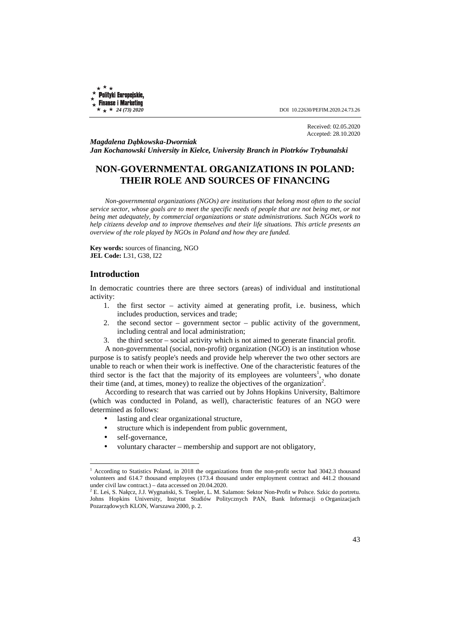**Polityki Europejskie, Finanse i Marketing** 

 $\star \star \star 24$  (73) 2020 **DOI** 10.22630/PEFIM.2020.24.73.26

Received: 02.05.2020 Accepted: 28.10.2020

*Magdalena Dąbkowska-Dworniak Jan Kochanowski University in Kielce, University Branch in Piotrków Trybunalski* 

# **NON-GOVERNMENTAL ORGANIZATIONS IN POLAND: THEIR ROLE AND SOURCES OF FINANCING**

*Non-governmental organizations (NGOs) are institutions that belong most often to the social service sector, whose goals are to meet the specific needs of people that are not being met, or not being met adequately, by commercial organizations or state administrations. Such NGOs work to help citizens develop and to improve themselves and their life situations. This article presents an overview of the role played by NGOs in Poland and how they are funded.* 

**Key words:** sources of financing, NGO **JEL Code:** L31, G38, I22

### **Introduction**

In democratic countries there are three sectors (areas) of individual and institutional activity:

- 1. the first sector activity aimed at generating profit, i.e. business, which includes production, services and trade;
- 2. the second sector government sector public activity of the government, including central and local administration;
- 3. the third sector social activity which is not aimed to generate financial profit.

A non-governmental (social, non-profit) organization (NGO) is an institution whose purpose is to satisfy people's needs and provide help wherever the two other sectors are unable to reach or when their work is ineffective. One of the characteristic features of the third sector is the fact that the majority of its employees are volunteers<sup>1</sup>, who donate their time (and, at times, money) to realize the objectives of the organization<sup>2</sup>.

According to research that was carried out by Johns Hopkins University, Baltimore (which was conducted in Poland, as well), characteristic features of an NGO were determined as follows:

- lasting and clear organizational structure,
- structure which is independent from public government.
- self-governance,

l

• voluntary character – membership and support are not obligatory,

<sup>&</sup>lt;sup>1</sup> According to Statistics Poland, in 2018 the organizations from the non-profit sector had 3042.3 thousand volunteers and 614.7 thousand employees (173.4 thousand under employment contract and 441.2 thousand under civil law contract.) – data accessed on 20.04.2020.

<sup>2</sup> E. Leś, S. Nałęcz, J.J. Wygnański, S. Toepler, L. M. Salamon: Sektor Non-Profit w Polsce. Szkic do portretu. Johns Hopkins University, Instytut Studiów Politycznych PAN, Bank Informacji o Organizacjach Pozarządowych KLON, Warszawa 2000, p. 2.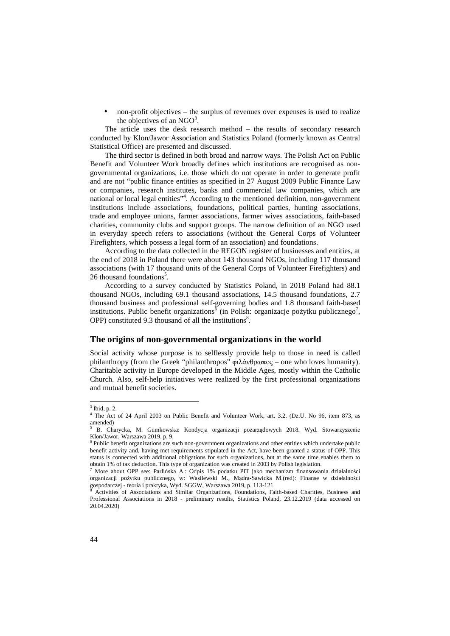• non-profit objectives – the surplus of revenues over expenses is used to realize the objectives of an  $NGO<sup>3</sup>$ .

The article uses the desk research method – the results of secondary research conducted by Klon/Jawor Association and Statistics Poland (formerly known as Central Statistical Office) are presented and discussed.

The third sector is defined in both broad and narrow ways. The Polish Act on Public Benefit and Volunteer Work broadly defines which institutions are recognised as nongovernmental organizations, i.e. those which do not operate in order to generate profit and are not "public finance entities as specified in 27 August 2009 Public Finance Law or companies, research institutes, banks and commercial law companies, which are national or local legal entities"<sup>4</sup>. According to the mentioned definition, non-government institutions include associations, foundations, political parties, hunting associations, trade and employee unions, farmer associations, farmer wives associations, faith-based charities, community clubs and support groups. The narrow definition of an NGO used in everyday speech refers to associations (without the General Corps of Volunteer Firefighters, which possess a legal form of an association) and foundations.

According to the data collected in the REGON register of businesses and entities, at the end of 2018 in Poland there were about 143 thousand NGOs, including 117 thousand associations (with 17 thousand units of the General Corps of Volunteer Firefighters) and 26 thousand foundations<sup>5</sup>.

According to a survey conducted by Statistics Poland, in 2018 Poland had 88.1 thousand NGOs, including 69.1 thousand associations, 14.5 thousand foundations, 2.7 thousand business and professional self-governing bodies and 1.8 thousand faith-based institutions. Public benefit organizations<sup>6</sup> (in Polish: organizacje pożytku publicznego<sup>7</sup>, OPP) constituted 9.3 thousand of all the institutions $8$ .

#### **The origins of non-governmental organizations in the world**

Social activity whose purpose is to selflessly provide help to those in need is called philanthropy (from the Greek "philanthropos" φιλάνθρωπος – one who loves humanity). Charitable activity in Europe developed in the Middle Ages, mostly within the Catholic Church. Also, self-help initiatives were realized by the first professional organizations and mutual benefit societies.

 $3$  Ibid, p. 2.

<sup>4</sup> The Act of 24 April 2003 on Public Benefit and Volunteer Work, art. 3.2. (Dz.U. No 96, item 873, as amended)

<sup>5</sup> B. Charycka, M. Gumkowska: Kondycja organizacji pozarządowych 2018. Wyd. Stowarzyszenie Klon/Jawor, Warszawa 2019, p. 9.

<sup>&</sup>lt;sup>6</sup> Public benefit organizations are such non-government organizations and other entities which undertake public benefit activity and, having met requirements stipulated in the Act, have been granted a status of OPP. This status is connected with additional obligations for such organizations, but at the same time enables them to obtain 1% of tax deduction. This type of organization was created in 2003 by Polish legislation.

<sup>7</sup> More about OPP see: Parlińska A.: Odpis 1% podatku PIT jako mechanizm finansowania działalności organizacji pożytku publicznego, w: Wasilewski M., Mądra-Sawicka M.(red): Finanse w działalności gospodarczej - teoria i praktyka, Wyd. SGGW, Warszawa 2019, p. 113-121 8

Activities of Associations and Similar Organizations, Foundations, Faith-based Charities, Business and Professional Associations in 2018 - preliminary results, Statistics Poland, 23.12.2019 (data accessed on 20.04.2020)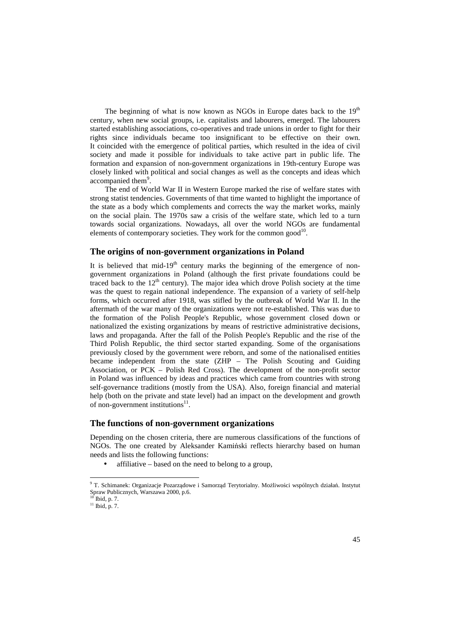The beginning of what is now known as NGOs in Europe dates back to the  $19<sup>th</sup>$ century, when new social groups, i.e. capitalists and labourers, emerged. The labourers started establishing associations, co-operatives and trade unions in order to fight for their rights since individuals became too insignificant to be effective on their own. It coincided with the emergence of political parties, which resulted in the idea of civil society and made it possible for individuals to take active part in public life. The formation and expansion of non-government organizations in 19th-century Europe was closely linked with political and social changes as well as the concepts and ideas which accompanied them<sup>9</sup>.

The end of World War II in Western Europe marked the rise of welfare states with strong statist tendencies. Governments of that time wanted to highlight the importance of the state as a body which complements and corrects the way the market works, mainly on the social plain. The 1970s saw a crisis of the welfare state, which led to a turn towards social organizations. Nowadays, all over the world NGOs are fundamental elements of contemporary societies. They work for the common good $^{10}$ .

## **The origins of non-government organizations in Poland**

It is believed that mid- $19<sup>th</sup>$  century marks the beginning of the emergence of nongovernment organizations in Poland (although the first private foundations could be traced back to the  $12<sup>th</sup>$  century). The major idea which drove Polish society at the time was the quest to regain national independence. The expansion of a variety of self-help forms, which occurred after 1918, was stifled by the outbreak of World War II. In the aftermath of the war many of the organizations were not re-established. This was due to the formation of the Polish People's Republic, whose government closed down or nationalized the existing organizations by means of restrictive administrative decisions, laws and propaganda. After the fall of the Polish People's Republic and the rise of the Third Polish Republic, the third sector started expanding. Some of the organisations previously closed by the government were reborn, and some of the nationalised entities became independent from the state (ZHP – The Polish Scouting and Guiding Association, or PCK – Polish Red Cross). The development of the non-profit sector in Poland was influenced by ideas and practices which came from countries with strong self-governance traditions (mostly from the USA). Also, foreign financial and material help (both on the private and state level) had an impact on the development and growth of non-government institutions<sup>11</sup>.

#### **The functions of non-government organizations**

Depending on the chosen criteria, there are numerous classifications of the functions of NGOs. The one created by Aleksander Kamiński reflects hierarchy based on human needs and lists the following functions:

• affiliative – based on the need to belong to a group,

<sup>9</sup> T. Schimanek: Organizacje Pozarządowe i Samorząd Terytorialny. Możliwości wspólnych działań. Instytut Spraw Publicznych, Warszawa 2000, p.6.

<sup>10</sup> Ibid, p. 7. <sup>11</sup> Ibid, p. 7.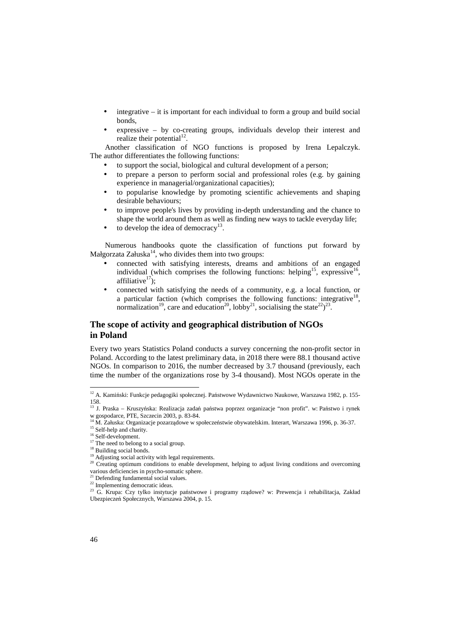- $integrate it is important for each individual to form a group and build social$ bonds,
- expressive  $-$  by co-creating groups, individuals develop their interest and realize their potential $^{12}$ .

Another classification of NGO functions is proposed by Irena Lepalczyk. The author differentiates the following functions:

- to support the social, biological and cultural development of a person;
- to prepare a person to perform social and professional roles (e.g. by gaining experience in managerial/organizational capacities);
- to popularise knowledge by promoting scientific achievements and shaping desirable behaviours;
- to improve people's lives by providing in-depth understanding and the chance to shape the world around them as well as finding new ways to tackle everyday life;
- $\bullet$  to develop the idea of democracy<sup>13</sup>.

Numerous handbooks quote the classification of functions put forward by Małgorzata Załuska $14$ , who divides them into two groups:

- connected with satisfying interests, dreams and ambitions of an engaged individual (which comprises the following functions: helping<sup>15</sup>, expressive<sup>16</sup>, affiliative $17$ ;
- connected with satisfying the needs of a community, e.g. a local function, or a particular faction (which comprises the following functions: integrative<sup>18</sup>, normalization<sup>19</sup>, care and education<sup>20</sup>, lobby<sup>21</sup>, socialising the state<sup>22</sup>)<sup>23</sup>.

## **The scope of activity and geographical distribution of NGOs in Poland**

Every two years Statistics Poland conducts a survey concerning the non-profit sector in Poland. According to the latest preliminary data, in 2018 there were 88.1 thousand active NGOs. In comparison to 2016, the number decreased by 3.7 thousand (previously, each time the number of the organizations rose by 3-4 thousand). Most NGOs operate in the

<sup>&</sup>lt;sup>12</sup> A. Kamiński: Funkcje pedagogiki społecznej. Państwowe Wydawnictwo Naukowe, Warszawa 1982, p. 155-158. <sup>13</sup> J. Praska – Kruszyńska: Realizacja zadań państwa poprzez organizacje "non profit". w: Państwo i rynek

w gospodarce, PTE, Szczecin 2003, p. 83-84.<br><sup>14</sup> M. Zakirlanda by Szczecin 2003, p. 83-84.

<sup>14</sup> M. Załuska: Organizacje pozarządowe w społeczeństwie obywatelskim. Interart, Warszawa 1996, p. 36-37.

<sup>&</sup>lt;sup>15</sup> Self-help and charity.

<sup>&</sup>lt;sup>16</sup> Self-development.

 $17$  The need to belong to a social group.

<sup>&</sup>lt;sup>18</sup> Building social bonds.

<sup>&</sup>lt;sup>19</sup> Adjusting social activity with legal requirements.

<sup>&</sup>lt;sup>20</sup> Creating optimum conditions to enable development, helping to adjust living conditions and overcoming various deficiencies in psycho-somatic sphere.

<sup>&</sup>lt;sup>21</sup> Defending fundamental social values.

 $22$  Implementing democratic ideas.

<sup>&</sup>lt;sup>23</sup> G. Krupa: Czy tylko instytucje państwowe i programy rządowe? w: Prewencja i rehabilitacja, Zakład Ubezpieczeń Społecznych, Warszawa 2004, p. 15.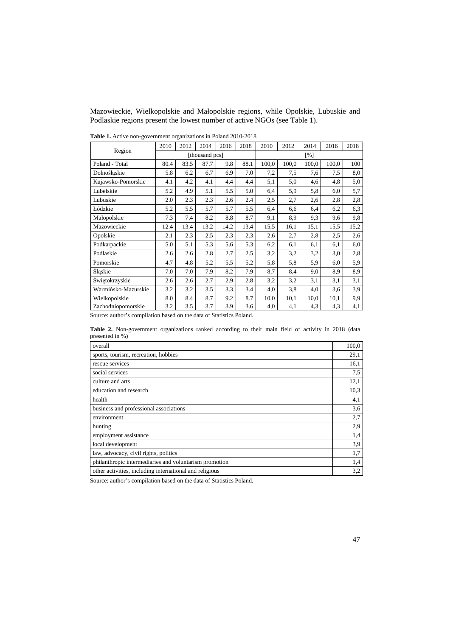Mazowieckie, Wielkopolskie and Małopolskie regions, while Opolskie, Lubuskie and Podlaskie regions present the lowest number of active NGOs (see Table 1).

| <b>There</b> is the state from government organizations in Found 2010 2010 | 2010           | 2012 | 2014 | 2016 | 2018 | 2010  | 2012  | 2014  | 2016  | 2018 |
|----------------------------------------------------------------------------|----------------|------|------|------|------|-------|-------|-------|-------|------|
| Region                                                                     | [thousand pcs] |      |      |      | [%]  |       |       |       |       |      |
| Poland - Total                                                             | 80.4           | 83.5 | 87.7 | 9.8  | 88.1 | 100,0 | 100,0 | 100,0 | 100,0 | 100  |
| Dolnośląskie                                                               | 5.8            | 6.2  | 6.7  | 6.9  | 7.0  | 7,2   | 7,5   | 7,6   | 7,5   | 8,0  |
| Kujawsko-Pomorskie                                                         | 4.1            | 4.2  | 4.1  | 4.4  | 4.4  | 5,1   | 5,0   | 4,6   | 4,8   | 5,0  |
| Lubelskie                                                                  | 5.2            | 4.9  | 5.1  | 5.5  | 5.0  | 6,4   | 5,9   | 5,8   | 6,0   | 5,7  |
| Lubuskie                                                                   | 2.0            | 2.3  | 2.3  | 2.6  | 2.4  | 2,5   | 2,7   | 2,6   | 2,8   | 2,8  |
| Łódzkie                                                                    | 5.2            | 5.5  | 5.7  | 5.7  | 5.5  | 6,4   | 6,6   | 6,4   | 6,2   | 6,3  |
| Małopolskie                                                                | 7.3            | 7.4  | 8.2  | 8.8  | 8.7  | 9,1   | 8,9   | 9,3   | 9,6   | 9,8  |
| Mazowieckie                                                                | 12.4           | 13.4 | 13.2 | 14.2 | 13.4 | 15,5  | 16,1  | 15,1  | 15,5  | 15,2 |
| Opolskie                                                                   | 2.1            | 2.3  | 2.5  | 2.3  | 2.3  | 2,6   | 2,7   | 2,8   | 2,5   | 2,6  |
| Podkarpackie                                                               | 5.0            | 5.1  | 5.3  | 5.6  | 5.3  | 6,2   | 6,1   | 6,1   | 6,1   | 6,0  |
| Podlaskie                                                                  | 2.6            | 2.6  | 2.8  | 2.7  | 2.5  | 3,2   | 3,2   | 3,2   | 3,0   | 2,8  |
| Pomorskie                                                                  | 4.7            | 4.8  | 5.2  | 5.5  | 5.2  | 5,8   | 5,8   | 5,9   | 6,0   | 5,9  |
| Śląskie                                                                    | 7.0            | 7.0  | 7.9  | 8.2  | 7.9  | 8,7   | 8,4   | 9,0   | 8,9   | 8,9  |
| Świętokrzyskie                                                             | 2.6            | 2.6  | 2.7  | 2.9  | 2.8  | 3,2   | 3,2   | 3,1   | 3,1   | 3,1  |
| Warmińsko-Mazurskie                                                        | 3.2            | 3.2  | 3.5  | 3.3  | 3.4  | 4,0   | 3,8   | 4,0   | 3,6   | 3,9  |
| Wielkopolskie                                                              | 8.0            | 8.4  | 8.7  | 9.2  | 8.7  | 10,0  | 10,1  | 10,0  | 10,1  | 9,9  |
| Zachodniopomorskie                                                         | 3.2            | 3.5  | 3.7  | 3.9  | 3.6  | 4,0   | 4,1   | 4,3   | 4,3   | 4,1  |

**Table 1.** Active non-government organizations in Poland 2010-2018

Source: author's compilation based on the data of Statistics Poland.

**Table 2.** Non-government organizations ranked according to their main field of activity in 2018 (data presented in %)

| overall                                                 | 100,0 |  |  |  |  |
|---------------------------------------------------------|-------|--|--|--|--|
| sports, tourism, recreation, hobbies                    |       |  |  |  |  |
| rescue services                                         | 16,1  |  |  |  |  |
| social services                                         | 7.5   |  |  |  |  |
| culture and arts                                        | 12,1  |  |  |  |  |
| education and research                                  | 10,3  |  |  |  |  |
| health                                                  | 4,1   |  |  |  |  |
| business and professional associations                  | 3,6   |  |  |  |  |
| environment                                             | 2,7   |  |  |  |  |
| hunting                                                 | 2.9   |  |  |  |  |
| employment assistance                                   | 1,4   |  |  |  |  |
| local development                                       | 3,9   |  |  |  |  |
| law, advocacy, civil rights, politics                   | 1,7   |  |  |  |  |
| philanthropic intermediaries and voluntarism promotion  |       |  |  |  |  |
| other activities, including international and religious |       |  |  |  |  |

Source: author's compilation based on the data of Statistics Poland.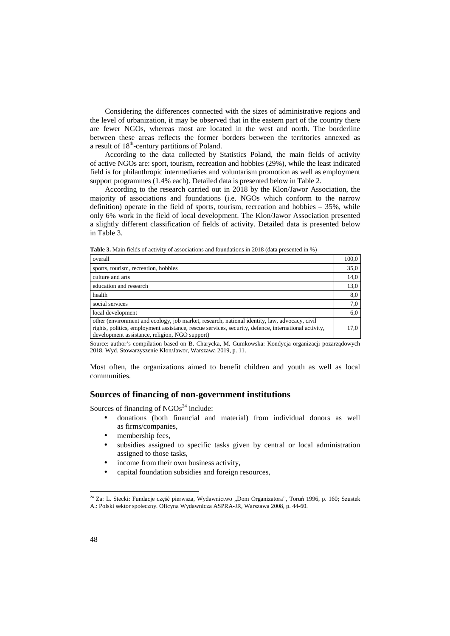Considering the differences connected with the sizes of administrative regions and the level of urbanization, it may be observed that in the eastern part of the country there are fewer NGOs, whereas most are located in the west and north. The borderline between these areas reflects the former borders between the territories annexed as a result of  $18<sup>th</sup>$ -century partitions of Poland.

According to the data collected by Statistics Poland, the main fields of activity of active NGOs are: sport, tourism, recreation and hobbies (29%), while the least indicated field is for philanthropic intermediaries and voluntarism promotion as well as employment support programmes (1.4% each). Detailed data is presented below in Table 2.

According to the research carried out in 2018 by the Klon/Jawor Association, the majority of associations and foundations (i.e. NGOs which conform to the narrow definition) operate in the field of sports, tourism, recreation and hobbies  $-35%$ , while only 6% work in the field of local development. The Klon/Jawor Association presented a slightly different classification of fields of activity. Detailed data is presented below in Table 3.

**Table 3.** Main fields of activity of associations and foundations in 2018 (data presented in %)

| overall                                                                                                                                                                                                                                                 | 100,0 |
|---------------------------------------------------------------------------------------------------------------------------------------------------------------------------------------------------------------------------------------------------------|-------|
| sports, tourism, recreation, hobbies                                                                                                                                                                                                                    | 35,0  |
| culture and arts                                                                                                                                                                                                                                        | 14,0  |
| education and research                                                                                                                                                                                                                                  | 13,0  |
| health                                                                                                                                                                                                                                                  | 8,0   |
| social services                                                                                                                                                                                                                                         | 7,0   |
| local development                                                                                                                                                                                                                                       | 6,0   |
| other (environment and ecology, job market, research, national identity, law, advocacy, civil<br>rights, politics, employment assistance, rescue services, security, defence, international activity,<br>development assistance, religion, NGO support) | 17,0  |
| $\sim$ $\sim$ $\sim$ $\sim$ $\sim$                                                                                                                                                                                                                      |       |

Source: author's compilation based on B. Charycka, M. Gumkowska: Kondycja organizacji pozarządowych 2018. Wyd. Stowarzyszenie Klon/Jawor, Warszawa 2019, p. 11.

Most often, the organizations aimed to benefit children and youth as well as local communities.

### **Sources of financing of non-government institutions**

Sources of financing of  $NGOs<sup>24</sup>$  include:

- donations (both financial and material) from individual donors as well as firms/companies,
- membership fees,
- subsidies assigned to specific tasks given by central or local administration assigned to those tasks,
- income from their own business activity,
- capital foundation subsidies and foreign resources,

<sup>&</sup>lt;sup>24</sup> Za: L. Stecki: Fundacje część pierwsza, Wydawnictwo "Dom Organizatora", Toruń 1996, p. 160; Szustek A.: Polski sektor społeczny. Oficyna Wydawnicza ASPRA-JR, Warszawa 2008, p. 44-60.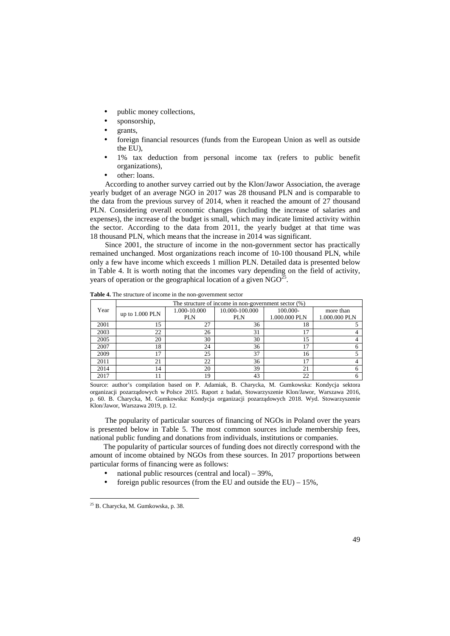- public money collections,
- sponsorship,
- grants,
- foreign financial resources (funds from the European Union as well as outside the EU),
- 1% tax deduction from personal income tax (refers to public benefit organizations),
- other: loans.

According to another survey carried out by the Klon/Jawor Association, the average yearly budget of an average NGO in 2017 was 28 thousand PLN and is comparable to the data from the previous survey of 2014, when it reached the amount of 27 thousand PLN. Considering overall economic changes (including the increase of salaries and expenses), the increase of the budget is small, which may indicate limited activity within the sector. According to the data from 2011, the yearly budget at that time was 18 thousand PLN, which means that the increase in 2014 was significant.

Since 2001, the structure of income in the non-government sector has practically remained unchanged. Most organizations reach income of 10-100 thousand PLN, while only a few have income which exceeds 1 million PLN. Detailed data is presented below in Table 4. It is worth noting that the incomes vary depending on the field of activity, years of operation or the geographical location of a given  $NGO<sup>2</sup>$ .

|      | The structure of income in non-government sector $(\%)$ |              |                |               |               |  |  |  |
|------|---------------------------------------------------------|--------------|----------------|---------------|---------------|--|--|--|
| Year | up to $1.000$ PLN                                       | 1.000-10.000 | 10.000-100.000 | 100.000-      | more than     |  |  |  |
|      |                                                         | <b>PLN</b>   | <b>PLN</b>     | 1.000.000 PLN | 1.000.000 PLN |  |  |  |
| 2001 | 15                                                      | 27           | 36             | 18            |               |  |  |  |
| 2003 | 22                                                      | 26           | 31             | 17            |               |  |  |  |
| 2005 | 20                                                      | 30           | 30             | 15            |               |  |  |  |
| 2007 | 18                                                      | 24           | 36             | 17            |               |  |  |  |
| 2009 | ר ו                                                     | 25           | 37             | 16            |               |  |  |  |
| 2011 | 21                                                      | 22           | 36             | 17            |               |  |  |  |
| 2014 | 14                                                      | 20           | 39             | 21            |               |  |  |  |
| 2017 |                                                         | 19           | 43             | 22            | 6             |  |  |  |

**Table 4.** The structure of income in the non-government sector

Source: author's compilation based on P. Adamiak, B. Charycka, M. Gumkowska: Kondycja sektora organizacji pozarządowych w Polsce 2015. Raport z badań, Stowarzyszenie Klon/Jawor, Warszawa 2016, p. 60. B. Charycka, M. Gumkowska: Kondycja organizacji pozarządowych 2018. Wyd. Stowarzyszenie Klon/Jawor, Warszawa 2019, p. 12.

The popularity of particular sources of financing of NGOs in Poland over the years is presented below in Table 5. The most common sources include membership fees, national public funding and donations from individuals, institutions or companies.

The popularity of particular sources of funding does not directly correspond with the amount of income obtained by NGOs from these sources. In 2017 proportions between particular forms of financing were as follows:

- national public resources (central and local)  $-39\%$ ,
- foreign public resources (from the EU and outside the EU)  $15\%$ ,

 $\overline{a}$ 

<sup>25</sup> B. Charycka, M. Gumkowska, p. 38.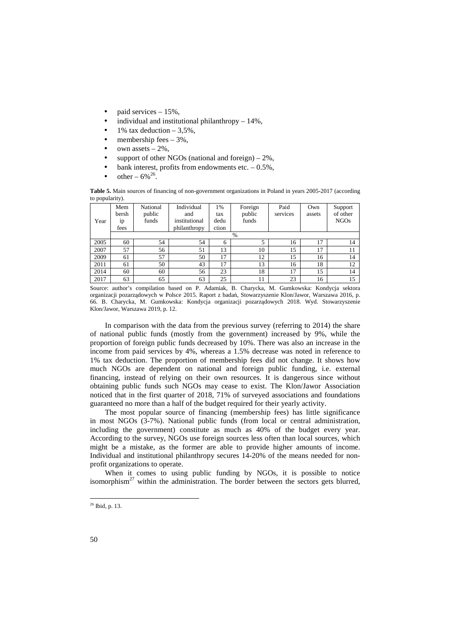- paid services 15%,
- individual and institutional philanthropy  $-14\%$ ,
- 1% tax deduction  $-3.5\%$ ,
- membership fees  $-3\%$ ,
- own assets  $-2\%$ .
- support of other NGOs (national and foreign)  $-2\%$ ,
- bank interest, profits from endowments etc.  $-0.5\%$ .
- other  $6\%^{26}$ .

**Table 5.** Main sources of financing of non-government organizations in Poland in years 2005-2017 (according to popularity).

|      | Mem   | National | Individual    | 1%    | Foreign | Paid     | Own    | Support     |  |  |
|------|-------|----------|---------------|-------|---------|----------|--------|-------------|--|--|
|      | bersh | public   | and           | tax   | public  | services | assets | of other    |  |  |
| Year | 1p    | funds    | institutional | dedu  | funds   |          |        | <b>NGOs</b> |  |  |
|      | fees  |          | philanthropy  | ction |         |          |        |             |  |  |
|      | $\%$  |          |               |       |         |          |        |             |  |  |
| 2005 | 60    | 54       | 54            | 6     | 5       | 16       | 17     | 14          |  |  |
| 2007 | 57    | 56       | 51            | 13    | 10      | 15       | 17     | 11          |  |  |
| 2009 | 61    | 57       | 50            | 17    | 12      | 15       | 16     | 14          |  |  |
| 2011 | 61    | 50       | 43            | 17    | 13      | 16       | 18     | 12          |  |  |
| 2014 | 60    | 60       | 56            | 23    | 18      | 17       | 15     | 14          |  |  |
| 2017 | 63    | 65       | 63            | 25    | 11      | 23       | 16     | 15          |  |  |

Source: author's compilation based on P. Adamiak, B. Charycka, M. Gumkowska: Kondycja sektora organizacji pozarządowych w Polsce 2015. Raport z badań, Stowarzyszenie Klon/Jawor, Warszawa 2016, p. 66. B. Charycka, M. Gumkowska: Kondycja organizacji pozarządowych 2018. Wyd. Stowarzyszenie Klon/Jawor, Warszawa 2019, p. 12.

In comparison with the data from the previous survey (referring to 2014) the share of national public funds (mostly from the government) increased by 9%, while the proportion of foreign public funds decreased by 10%. There was also an increase in the income from paid services by 4%, whereas a 1.5% decrease was noted in reference to 1% tax deduction. The proportion of membership fees did not change. It shows how much NGOs are dependent on national and foreign public funding, i.e. external financing, instead of relying on their own resources. It is dangerous since without obtaining public funds such NGOs may cease to exist. The Klon/Jawor Association noticed that in the first quarter of 2018, 71% of surveyed associations and foundations guaranteed no more than a half of the budget required for their yearly activity.

The most popular source of financing (membership fees) has little significance in most NGOs (3-7%). National public funds (from local or central administration, including the government) constitute as much as 40% of the budget every year. According to the survey, NGOs use foreign sources less often than local sources, which might be a mistake, as the former are able to provide higher amounts of income. Individual and institutional philanthropy secures 14-20% of the means needed for nonprofit organizations to operate.

When it comes to using public funding by NGOs, it is possible to notice isomorphism<sup>27</sup> within the administration. The border between the sectors gets blurred,

 $\overline{a}$ 

<sup>26</sup> Ibid, p. 13.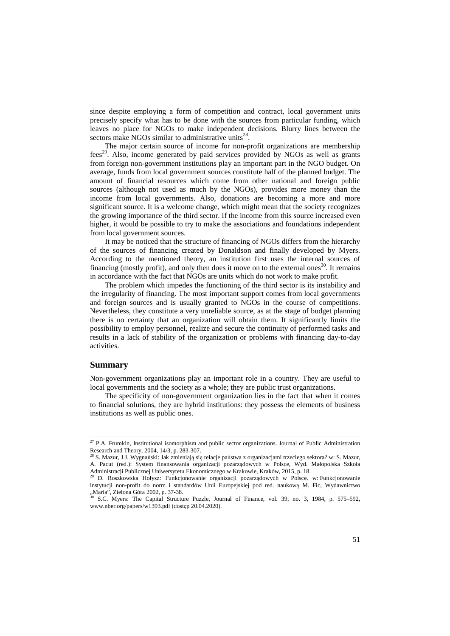since despite employing a form of competition and contract, local government units precisely specify what has to be done with the sources from particular funding, which leaves no place for NGOs to make independent decisions. Blurry lines between the sectors make NGOs similar to administrative units<sup>28</sup>.

The major certain source of income for non-profit organizations are membership  $fees^{29}$ . Also, income generated by paid services provided by NGOs as well as grants from foreign non-government institutions play an important part in the NGO budget. On average, funds from local government sources constitute half of the planned budget. The amount of financial resources which come from other national and foreign public sources (although not used as much by the NGOs), provides more money than the income from local governments. Also, donations are becoming a more and more significant source. It is a welcome change, which might mean that the society recognizes the growing importance of the third sector. If the income from this source increased even higher, it would be possible to try to make the associations and foundations independent from local government sources.

It may be noticed that the structure of financing of NGOs differs from the hierarchy of the sources of financing created by Donaldson and finally developed by Myers. According to the mentioned theory, an institution first uses the internal sources of financing (mostly profit), and only then does it move on to the external ones<sup>30</sup>. It remains in accordance with the fact that NGOs are units which do not work to make profit.

The problem which impedes the functioning of the third sector is its instability and the irregularity of financing. The most important support comes from local governments and foreign sources and is usually granted to NGOs in the course of competitions. Nevertheless, they constitute a very unreliable source, as at the stage of budget planning there is no certainty that an organization will obtain them. It significantly limits the possibility to employ personnel, realize and secure the continuity of performed tasks and results in a lack of stability of the organization or problems with financing day-to-day activities.

### **Summary**

l

Non-government organizations play an important role in a country. They are useful to local governments and the society as a whole; they are public trust organizations.

The specificity of non-government organization lies in the fact that when it comes to financial solutions, they are hybrid institutions: they possess the elements of business institutions as well as public ones.

<sup>&</sup>lt;sup>27</sup> P.A. Frumkin, Institutional isomorphism and public sector organizations. Journal of Public Administration Research and Theory, 2004, 14/3, p. 283-307.

<sup>28</sup> S. Mazur, J.J. Wygnański: Jak zmieniają się relacje państwa z organizacjami trzeciego sektora? w: S. Mazur, A. Pacut (red.): System finansowania organizacji pozarządowych w Polsce, Wyd. Małopolska Szkoła Administracji Publicznej Uniwersytetu Ekonomicznego w Krakowie, Kraków, 2015, p. 18.

<sup>29</sup> D. Roszkowska Hołysz: Funkcjonowanie organizacji pozarządowych w Polsce. w: Funkcjonowanie instytucji non-profit do norm i standardów Unii Europejskiej pod red. naukową M. Fic, Wydawnictwo  $Maria''$ , Zielona Góra 2002, p. 37-38.

<sup>30</sup> S.C. Myers: The Capital Structure Puzzle, Journal of Finance, vol. 39, no. 3, 1984, p. 575–592, www.nber.org/papers/w1393.pdf (dostęp 20.04.2020).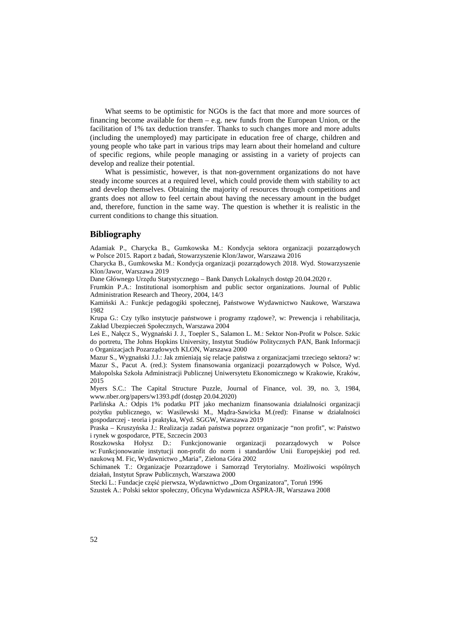What seems to be optimistic for NGOs is the fact that more and more sources of financing become available for them – e.g. new funds from the European Union, or the facilitation of 1% tax deduction transfer. Thanks to such changes more and more adults (including the unemployed) may participate in education free of charge, children and young people who take part in various trips may learn about their homeland and culture of specific regions, while people managing or assisting in a variety of projects can develop and realize their potential.

What is pessimistic, however, is that non-government organizations do not have steady income sources at a required level, which could provide them with stability to act and develop themselves. Obtaining the majority of resources through competitions and grants does not allow to feel certain about having the necessary amount in the budget and, therefore, function in the same way. The question is whether it is realistic in the current conditions to change this situation.

#### **Bibliography**

Adamiak P., Charycka B., Gumkowska M.: Kondycja sektora organizacji pozarządowych w Polsce 2015. Raport z badań, Stowarzyszenie Klon/Jawor, Warszawa 2016

Charycka B., Gumkowska M.: Kondycja organizacji pozarządowych 2018. Wyd. Stowarzyszenie Klon/Jawor, Warszawa 2019

Dane Głównego Urzędu Statystycznego – Bank Danych Lokalnych dostęp 20.04.2020 r.

Frumkin P.A.: Institutional isomorphism and public sector organizations. Journal of Public Administration Research and Theory, 2004, 14/3

Kamiński A.: Funkcje pedagogiki społecznej, Państwowe Wydawnictwo Naukowe, Warszawa 1982

Krupa G.: Czy tylko instytucje państwowe i programy rządowe?, w: Prewencja i rehabilitacja, Zakład Ubezpieczeń Społecznych, Warszawa 2004

Leś E., Nałęcz S., Wygnański J. J., Toepler S., Salamon L. M.: Sektor Non-Profit w Polsce. Szkic do portretu, The Johns Hopkins University, Instytut Studiów Politycznych PAN, Bank Informacji o Organizacjach Pozarządowych KLON, Warszawa 2000

Mazur S., Wygnański J.J.: Jak zmieniają się relacje państwa z organizacjami trzeciego sektora? w: Mazur S., Pacut A. (red.): System finansowania organizacji pozarządowych w Polsce, Wyd. Małopolska Szkoła Administracji Publicznej Uniwersytetu Ekonomicznego w Krakowie, Kraków, 2015

Myers S.C.: The Capital Structure Puzzle, Journal of Finance, vol. 39, no. 3, 1984, www.nber.org/papers/w1393.pdf (dostęp 20.04.2020)

Parlińska A.: Odpis 1% podatku PIT jako mechanizm finansowania działalności organizacji pożytku publicznego, w: Wasilewski M., Mądra-Sawicka M.(red): Finanse w działalności gospodarczej - teoria i praktyka, Wyd. SGGW, Warszawa 2019

Praska – Kruszyńska J.: Realizacja zadań państwa poprzez organizacje "non profit", w: Państwo i rynek w gospodarce, PTE, Szczecin 2003

Roszkowska Hołysz D.: Funkcjonowanie organizacji pozarządowych w Polsce w: Funkcjonowanie instytucji non-profit do norm i standardów Unii Europejskiej pod red. naukową M. Fic, Wydawnictwo "Maria", Zielona Góra 2002

Schimanek T.: Organizacje Pozarządowe i Samorząd Terytorialny. Możliwości wspólnych działań, Instytut Spraw Publicznych, Warszawa 2000

Stecki L.: Fundacje część pierwsza, Wydawnictwo "Dom Organizatora", Toruń 1996

Szustek A.: Polski sektor społeczny, Oficyna Wydawnicza ASPRA-JR, Warszawa 2008